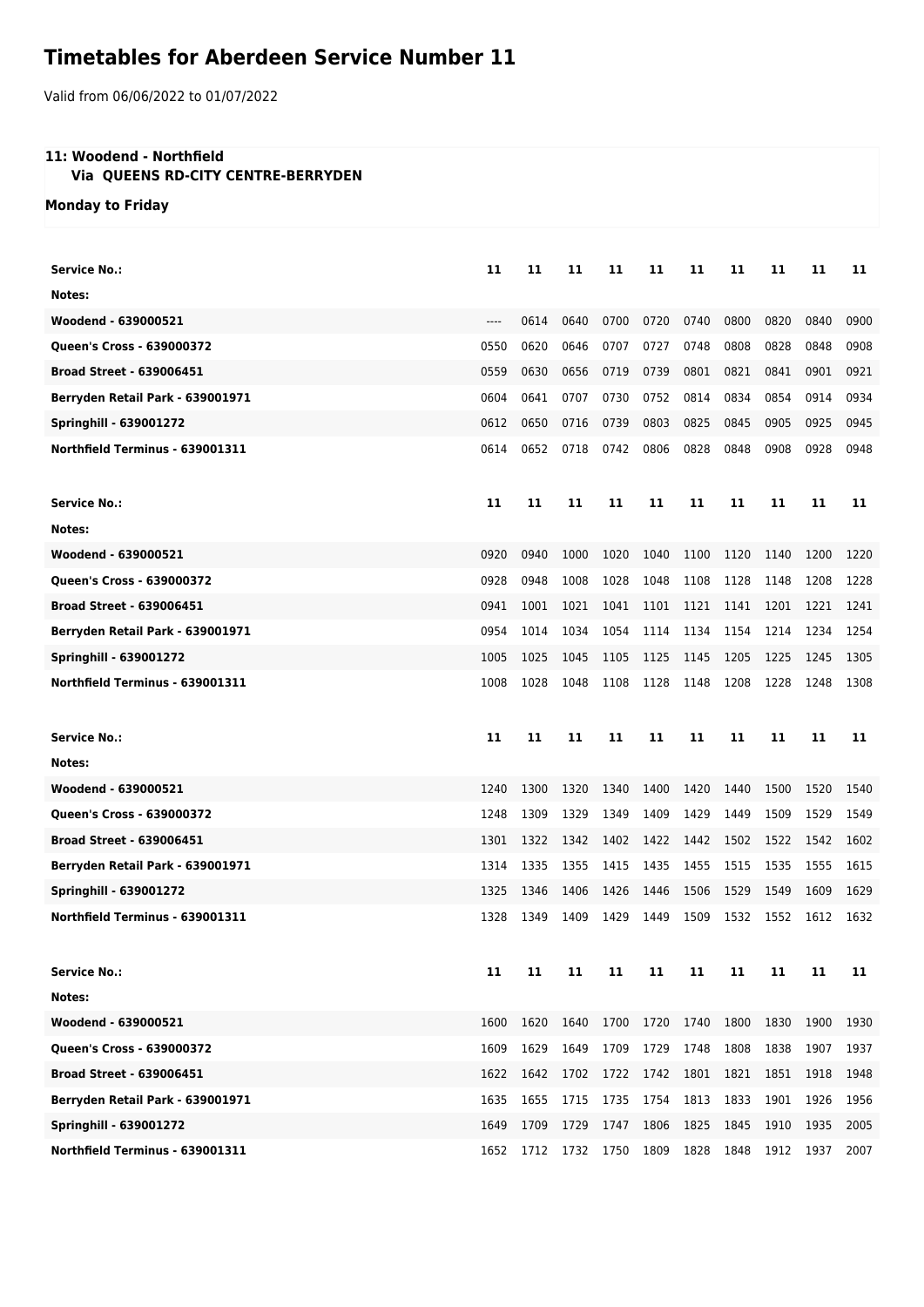## **Timetables for Aberdeen Service Number 11**

Valid from 06/06/2022 to 01/07/2022

## **11: Woodend - Northfield**

 **Via QUEENS RD-CITY CENTRE-BERRYDEN**

**Monday to Friday**

| Service No.:                     | 11    | 11   | 11   | 11   | 11        | 11   | 11   | 11   | 11   | 11   |
|----------------------------------|-------|------|------|------|-----------|------|------|------|------|------|
| Notes:                           |       |      |      |      |           |      |      |      |      |      |
| Woodend - 639000521              | $---$ | 0614 | 0640 | 0700 | 0720      | 0740 | 0800 | 0820 | 0840 | 0900 |
| Queen's Cross - 639000372        | 0550  | 0620 | 0646 | 0707 | 0727      | 0748 | 0808 | 0828 | 0848 | 0908 |
| <b>Broad Street - 639006451</b>  | 0559  | 0630 | 0656 | 0719 | 0739      | 0801 | 0821 | 0841 | 0901 | 0921 |
| Berryden Retail Park - 639001971 | 0604  | 0641 | 0707 | 0730 | 0752      | 0814 | 0834 | 0854 | 0914 | 0934 |
| <b>Springhill - 639001272</b>    | 0612  | 0650 | 0716 | 0739 | 0803      | 0825 | 0845 | 0905 | 0925 | 0945 |
| Northfield Terminus - 639001311  | 0614  | 0652 | 0718 | 0742 | 0806      | 0828 | 0848 | 0908 | 0928 | 0948 |
| <b>Service No.:</b>              | 11    | 11   | 11   | 11   | 11        | 11   | 11   | 11   | 11   | 11   |
| Notes:                           |       |      |      |      |           |      |      |      |      |      |
| Woodend - 639000521              | 0920  | 0940 | 1000 | 1020 | 1040      | 1100 | 1120 | 1140 | 1200 | 1220 |
| Queen's Cross - 639000372        | 0928  | 0948 | 1008 | 1028 | 1048      | 1108 | 1128 | 1148 | 1208 | 1228 |
| <b>Broad Street - 639006451</b>  | 0941  | 1001 | 1021 | 1041 | 1101      | 1121 | 1141 | 1201 | 1221 | 1241 |
| Berryden Retail Park - 639001971 | 0954  | 1014 | 1034 | 1054 | 1114      | 1134 | 1154 | 1214 | 1234 | 1254 |
| <b>Springhill - 639001272</b>    | 1005  | 1025 | 1045 | 1105 | 1125      | 1145 | 1205 | 1225 | 1245 | 1305 |
| Northfield Terminus - 639001311  | 1008  | 1028 | 1048 | 1108 | 1128      | 1148 | 1208 | 1228 | 1248 | 1308 |
|                                  |       |      |      |      |           |      |      |      |      |      |
| <b>Service No.:</b>              | 11    | 11   | 11   | 11   | 11        | 11   | 11   | 11   | 11   | 11   |
| Notes:                           |       |      |      |      |           |      |      |      |      |      |
| Woodend - 639000521              | 1240  | 1300 | 1320 | 1340 | 1400      | 1420 | 1440 | 1500 | 1520 | 1540 |
| Queen's Cross - 639000372        | 1248  | 1309 | 1329 | 1349 | 1409      | 1429 | 1449 | 1509 | 1529 | 1549 |
| <b>Broad Street - 639006451</b>  | 1301  | 1322 | 1342 | 1402 | 1422      | 1442 | 1502 | 1522 | 1542 | 1602 |
| Berryden Retail Park - 639001971 | 1314  | 1335 | 1355 | 1415 | 1435      | 1455 | 1515 | 1535 | 1555 | 1615 |
| <b>Springhill - 639001272</b>    | 1325  | 1346 | 1406 | 1426 | 1446      | 1506 | 1529 | 1549 | 1609 | 1629 |
| Northfield Terminus - 639001311  | 1328  | 1349 | 1409 | 1429 | 1449      | 1509 | 1532 | 1552 | 1612 | 1632 |
| <b>Service No.:</b>              | 11    | 11   | 11   | 11   | 11        | 11   | 11   | 11   | 11   | 11   |
| Notes:                           |       |      |      |      |           |      |      |      |      |      |
| Woodend - 639000521              | 1600  | 1620 | 1640 | 1700 | 1720 1740 |      | 1800 | 1830 | 1900 | 1930 |
| <b>Oueen's Cross - 639000372</b> | 1609  | 1629 | 1649 | 1709 | 1729      | 1748 | 1808 | 1838 | 1907 | 1937 |
| <b>Broad Street - 639006451</b>  | 1622  | 1642 | 1702 | 1722 | 1742      | 1801 | 1821 | 1851 | 1918 | 1948 |
| Berryden Retail Park - 639001971 | 1635  | 1655 | 1715 | 1735 | 1754      | 1813 | 1833 | 1901 | 1926 | 1956 |
| <b>Springhill - 639001272</b>    | 1649  | 1709 | 1729 | 1747 | 1806      | 1825 | 1845 | 1910 | 1935 | 2005 |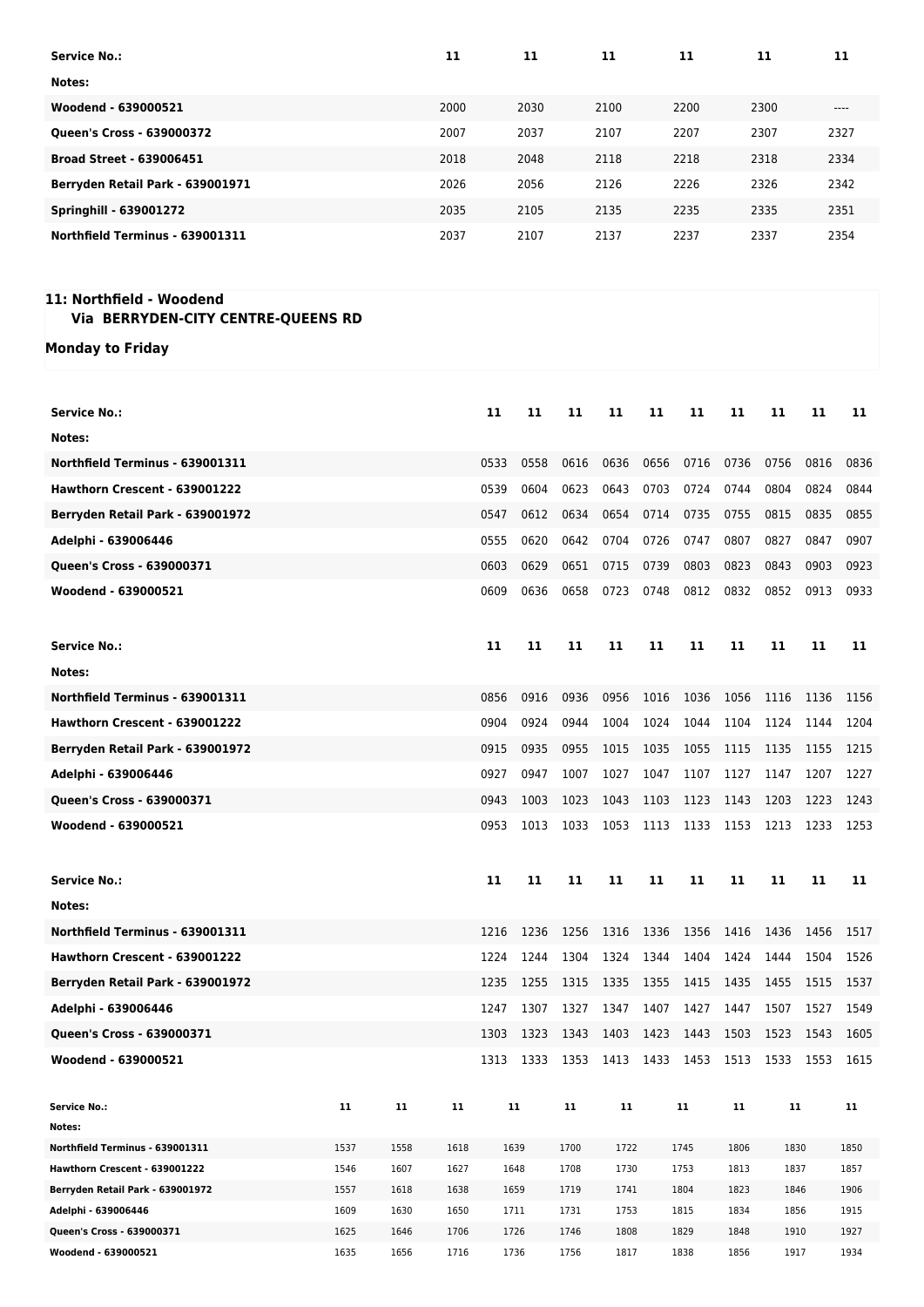| <b>Service No.:</b>              | 11   | 11   | 11   | 11   | 11   | 11     |
|----------------------------------|------|------|------|------|------|--------|
| Notes:                           |      |      |      |      |      |        |
| Woodend - 639000521              | 2000 | 2030 | 2100 | 2200 | 2300 | $----$ |
| Queen's Cross - 639000372        | 2007 | 2037 | 2107 | 2207 | 2307 | 2327   |
| <b>Broad Street - 639006451</b>  | 2018 | 2048 | 2118 | 2218 | 2318 | 2334   |
| Berryden Retail Park - 639001971 | 2026 | 2056 | 2126 | 2226 | 2326 | 2342   |
| <b>Springhill - 639001272</b>    | 2035 | 2105 | 2135 | 2235 | 2335 | 2351   |
| Northfield Terminus - 639001311  | 2037 | 2107 | 2137 | 2237 | 2337 | 2354   |

## **11: Northfield - Woodend**

## **Via BERRYDEN-CITY CENTRE-QUEENS RD**

**Monday to Friday**

| <b>Service No.:</b>                              |              |              |              | 11   | 11           | 11           | 11           | 11   | 11           | 11           | 11           | 11   | 11           |
|--------------------------------------------------|--------------|--------------|--------------|------|--------------|--------------|--------------|------|--------------|--------------|--------------|------|--------------|
| Notes:                                           |              |              |              |      |              |              |              |      |              |              |              |      |              |
| Northfield Terminus - 639001311                  |              |              |              | 0533 | 0558         | 0616         | 0636         | 0656 | 0716         | 0736         | 0756         | 0816 | 0836         |
| Hawthorn Crescent - 639001222                    |              |              |              | 0539 | 0604         | 0623         | 0643         | 0703 | 0724         | 0744         | 0804         | 0824 | 0844         |
| Berryden Retail Park - 639001972                 |              |              |              | 0547 | 0612         | 0634         | 0654         | 0714 | 0735         | 0755         | 0815         | 0835 | 0855         |
| Adelphi - 639006446                              |              |              |              | 0555 | 0620         | 0642         | 0704         | 0726 | 0747         | 0807         | 0827         | 0847 | 0907         |
| Queen's Cross - 639000371                        |              |              |              | 0603 | 0629         | 0651         | 0715         | 0739 | 0803         | 0823         | 0843         | 0903 | 0923         |
| Woodend - 639000521                              |              |              |              | 0609 | 0636         | 0658         | 0723         | 0748 | 0812         | 0832         | 0852         | 0913 | 0933         |
|                                                  |              |              |              |      |              |              |              |      |              |              |              |      |              |
| <b>Service No.:</b>                              |              |              |              | 11   | 11           | 11           | 11           | 11   | 11           | 11           | 11           | 11   | 11           |
| Notes:                                           |              |              |              |      |              |              |              |      |              |              |              |      |              |
| Northfield Terminus - 639001311                  |              |              |              | 0856 | 0916         | 0936         | 0956         | 1016 | 1036         | 1056         | 1116         | 1136 | 1156         |
| Hawthorn Crescent - 639001222                    |              |              |              | 0904 | 0924         | 0944         | 1004         | 1024 | 1044         | 1104         | 1124         | 1144 | 1204         |
|                                                  |              |              |              | 0915 | 0935         | 0955         | 1015         | 1035 | 1055         | 1115         | 1135         | 1155 | 1215         |
| Berryden Retail Park - 639001972                 |              |              |              |      |              |              |              |      |              |              |              |      |              |
| Adelphi - 639006446                              |              |              |              | 0927 | 0947         | 1007         | 1027         | 1047 | 1107         | 1127         | 1147         | 1207 | 1227         |
| Queen's Cross - 639000371                        |              |              |              | 0943 | 1003         | 1023         | 1043         | 1103 | 1123         | 1143         | 1203         | 1223 | 1243         |
| Woodend - 639000521                              |              |              |              | 0953 | 1013         | 1033         | 1053         | 1113 | 1133         | 1153         | 1213         | 1233 | 1253         |
|                                                  |              |              |              |      |              |              |              |      |              |              |              |      |              |
| <b>Service No.:</b>                              |              |              |              | 11   | 11           | 11           | 11           | 11   | 11           | 11           | 11           | 11   | 11           |
| Notes:                                           |              |              |              |      |              |              |              |      |              |              |              |      |              |
| Northfield Terminus - 639001311                  |              |              |              | 1216 | 1236         | 1256         | 1316         | 1336 | 1356         | 1416         | 1436         | 1456 | 1517         |
| Hawthorn Crescent - 639001222                    |              |              |              | 1224 | 1244         | 1304         | 1324         | 1344 | 1404         | 1424         | 1444         | 1504 | 1526         |
| Berryden Retail Park - 639001972                 |              |              |              | 1235 | 1255         | 1315         | 1335         | 1355 | 1415         | 1435         | 1455         | 1515 | 1537         |
| Adelphi - 639006446                              |              |              |              | 1247 | 1307         | 1327         | 1347         | 1407 | 1427         | 1447         | 1507         | 1527 | 1549         |
| Queen's Cross - 639000371                        |              |              |              | 1303 | 1323         | 1343         | 1403         | 1423 | 1443         | 1503         | 1523         | 1543 | 1605         |
| Woodend - 639000521                              |              |              |              | 1313 | 1333         | 1353         | 1413         | 1433 | 1453         | 1513         | 1533         | 1553 | 1615         |
|                                                  |              |              |              |      |              |              |              |      |              |              |              |      |              |
| <b>Service No.:</b>                              | 11           | 11           | 11           |      | 11           | 11           | 11           |      | 11           | 11           | 11           |      | 11           |
| Notes:                                           |              |              |              |      |              |              |              |      |              |              |              |      |              |
| Northfield Terminus - 639001311                  | 1537         | 1558         | 1618         |      | 1639         | 1700         | 1722         |      | 1745         | 1806         | 1830         |      | 1850         |
| Hawthorn Crescent - 639001222                    | 1546         | 1607         | 1627         |      | 1648         | 1708         | 1730         |      | 1753         | 1813         | 1837         |      | 1857         |
| Berryden Retail Park - 639001972                 | 1557         | 1618         | 1638         |      | 1659         | 1719         | 1741         |      | 1804         | 1823         | 1846         |      | 1906         |
| Adelphi - 639006446                              | 1609         | 1630         |              |      |              |              |              |      |              |              |              |      | 1915         |
|                                                  |              |              | 1650         |      | 1711         | 1731         | 1753         |      | 1815         | 1834         | 1856         |      |              |
| Queen's Cross - 639000371<br>Woodend - 639000521 | 1625<br>1635 | 1646<br>1656 | 1706<br>1716 |      | 1726<br>1736 | 1746<br>1756 | 1808<br>1817 |      | 1829<br>1838 | 1848<br>1856 | 1910<br>1917 |      | 1927<br>1934 |